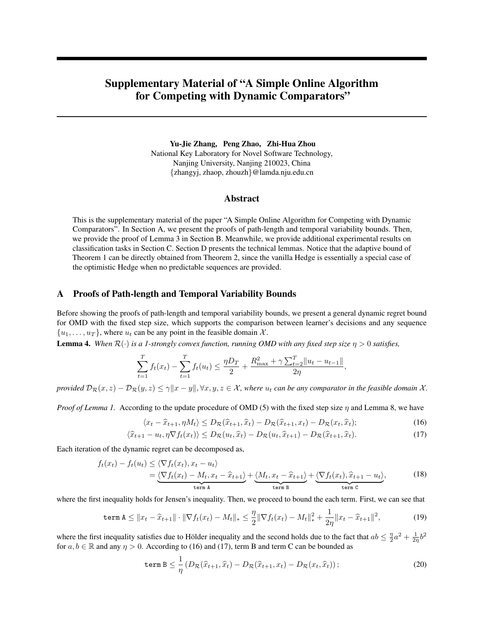# <span id="page-0-6"></span>Supplementary Material of "A Simple Online Algorithm for Competing with Dynamic Comparators"

Yu-Jie Zhang, Peng Zhao, Zhi-Hua Zhou National Key Laboratory for Novel Software Technology, Nanjing University, Nanjing 210023, China {zhangyj, zhaop, zhouzh}@lamda.nju.edu.cn

#### Abstract

This is the supplementary material of the paper "A Simple Online Algorithm for Competing with Dynamic Comparators". In Section [A,](#page-0-0) we present the proofs of path-length and temporal variability bounds. Then, we provide the proof of Lemma 3 in Section [B.](#page-4-0) Meanwhile, we provide additional experimental results on classification tasks in Section [C.](#page-5-0) Section [D](#page-5-1) presents the technical lemmas. Notice that the adaptive bound of Theorem 1 can be directly obtained from Theorem 2, since the vanilla Hedge is essentially a special case of the optimistic Hedge when no predictable sequences are provided.

### <span id="page-0-0"></span>A Proofs of Path-length and Temporal Variability Bounds

Before showing the proofs of path-length and temporal variability bounds, we present a general dynamic regret bound for OMD with the fixed step size, which supports the comparison between learner's decisions and any sequence  $\{u_1, \ldots, u_T\}$ , where  $u_t$  can be any point in the feasible domain X.

<span id="page-0-7"></span>**Lemma 4.** *When*  $\mathcal{R}(\cdot)$  *is a 1-strongly convex function, running OMD with any fixed step size*  $\eta > 0$  *satisfies,* 

$$
\sum_{t=1}^{T} f_t(x_t) - \sum_{t=1}^{T} f_t(u_t) \le \frac{\eta D_T}{2} + \frac{R_{\text{max}}^2 + \gamma \sum_{t=2}^{T} ||u_t - u_{t-1}||}{2\eta},
$$

*provided*  $\mathcal{D}_{\mathcal{R}}(x, z) - \mathcal{D}_{\mathcal{R}}(y, z) \leq \gamma \|x - y\|, \forall x, y, z \in \mathcal{X}$ , where  $u_t$  *can be any comparator in the feasible domain*  $\mathcal{X}$ *.* 

*Proof of Lemma 1.* According to the update procedure of OMD (5) with the fixed step size  $\eta$  and Lemma [8,](#page-5-2) we have

<span id="page-0-5"></span><span id="page-0-2"></span><span id="page-0-1"></span>
$$
\langle x_t - \hat{x}_{t+1}, \eta M_t \rangle \leq D_{\mathcal{R}}(\hat{x}_{t+1}, \hat{x}_t) - D_{\mathcal{R}}(\hat{x}_{t+1}, x_t) - D_{\mathcal{R}}(x_t, \hat{x}_t); \tag{16}
$$

$$
\langle \widehat{x}_{t+1} - u_t, \eta \nabla f_t(x_t) \rangle \le D_{\mathcal{R}}(u_t, \widehat{x}_t) - D_{\mathcal{R}}(u_t, \widehat{x}_{t+1}) - D_{\mathcal{R}}(\widehat{x}_{t+1}, \widehat{x}_t). \tag{17}
$$

Each iteration of the dynamic regret can be decomposed as,

$$
f_t(x_t) - f_t(u_t) \le \langle \nabla f_t(x_t), x_t - u_t \rangle
$$
  
=  $\underbrace{\langle \nabla f_t(x_t) - M_t, x_t - \hat{x}_{t+1} \rangle}_{\text{term A}} + \underbrace{\langle M_t, x_t - \hat{x}_{t+1} \rangle}_{\text{term B}} + \underbrace{\langle \nabla f_t(x_t), \hat{x}_{t+1} - u_t \rangle}_{\text{term C}},$  (18)

where the first inequality holds for Jensen's inequality. Then, we proceed to bound the each term. First, we can see that

$$
\text{term A} \leq \|x_t - \widehat{x}_{t+1}\| \cdot \|\nabla f_t(x_t) - M_t\|_{*} \leq \frac{\eta}{2} \|\nabla f_t(x_t) - M_t\|_{*}^2 + \frac{1}{2\eta} \|x_t - \widehat{x}_{t+1}\|^2,
$$
\n(19)

where the first inequality satisfies due to Hölder inequality and the second holds due to the fact that  $ab \leq \frac{\eta}{2}a^2 + \frac{1}{2\eta}b^2$ for  $a, b \in \mathbb{R}$  and any  $\eta > 0$ . According to [\(16\)](#page-0-1) and [\(17\)](#page-0-2), term B and term C can be bounded as

<span id="page-0-4"></span><span id="page-0-3"></span>
$$
\texttt{term}\ B \leq \frac{1}{\eta} \left( D_{\mathcal{R}}(\widehat{x}_{t+1}, \widehat{x}_t) - D_{\mathcal{R}}(\widehat{x}_{t+1}, x_t) - D_{\mathcal{R}}(x_t, \widehat{x}_t) \right); \tag{20}
$$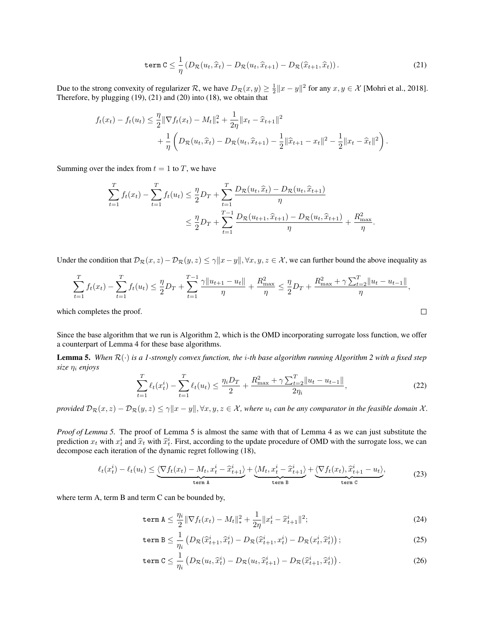<span id="page-1-0"></span>
$$
\text{term } C \leq \frac{1}{\eta} \left( D_{\mathcal{R}}(u_t, \widehat{x}_t) - D_{\mathcal{R}}(u_t, \widehat{x}_{t+1}) - D_{\mathcal{R}}(\widehat{x}_{t+1}, \widehat{x}_t) \right). \tag{21}
$$

Due to the strong convexity of regularizer R, we have  $D_{\mathcal{R}}(x, y) \geq \frac{1}{2} ||x - y||^2$  for any  $x, y \in \mathcal{X}$  [\[Mohri et al., 2018\]](#page-6-0). Therefore, by plugging [\(19\)](#page-0-3), [\(21\)](#page-1-0) and [\(20\)](#page-0-4) into [\(18\)](#page-0-5), we obtain that

$$
f_t(x_t) - f_t(u_t) \leq \frac{\eta}{2} \|\nabla f_t(x_t) - M_t\|_{*}^2 + \frac{1}{2\eta} \|x_t - \hat{x}_{t+1}\|^2
$$
  
+ 
$$
\frac{1}{\eta} \left( D_{\mathcal{R}}(u_t, \hat{x}_t) - D_{\mathcal{R}}(u_t, \hat{x}_{t+1}) - \frac{1}{2} \|\hat{x}_{t+1} - x_t\|^2 - \frac{1}{2} \|x_t - \hat{x}_t\|^2 \right).
$$

Summing over the index from  $t = 1$  to T, we have

$$
\sum_{t=1}^{T} f_t(x_t) - \sum_{t=1}^{T} f_t(u_t) \leq \frac{\eta}{2} D_T + \sum_{t=1}^{T} \frac{D_{\mathcal{R}}(u_t, \hat{x}_t) - D_{\mathcal{R}}(u_t, \hat{x}_{t+1})}{\eta} \n\leq \frac{\eta}{2} D_T + \sum_{t=1}^{T-1} \frac{D_{\mathcal{R}}(u_{t+1}, \hat{x}_{t+1}) - D_{\mathcal{R}}(u_t, \hat{x}_{t+1})}{\eta} + \frac{R_{\text{max}}^2}{\eta}.
$$

Under the condition that  $\mathcal{D}_{\mathcal{R}}(x, z) - \mathcal{D}_{\mathcal{R}}(y, z) \leq \gamma ||x - y||$ ,  $\forall x, y, z \in \mathcal{X}$ , we can further bound the above inequality as

$$
\sum_{t=1}^{T} f_t(x_t) - \sum_{t=1}^{T} f_t(u_t) \le \frac{\eta}{2} D_T + \sum_{t=1}^{T-1} \frac{\gamma \|u_{t+1} - u_t\|}{\eta} + \frac{R_{\text{max}}^2}{\eta} \le \frac{\eta}{2} D_T + \frac{R_{\text{max}}^2 + \gamma \sum_{t=2}^{T} \|u_t - u_{t-1}\|}{\eta},
$$
\nch completes the proof.

which completes the proof.

Since the base algorithm that we run is Algorithm [2,](#page-0-6) which is the OMD incorporating surrogate loss function, we offer a counterpart of Lemma [4](#page-0-7) for these base algorithms.

<span id="page-1-1"></span>**Lemma 5.** When  $\mathcal{R}(\cdot)$  is a 1-strongly convex function, the *i*-th base algorithm running Algorithm [2](#page-0-6) with a fixed step *size* η<sup>i</sup> *enjoys*

$$
\sum_{t=1}^{T} \ell_t(x_t^i) - \sum_{t=1}^{T} \ell_t(u_t) \le \frac{\eta_i D_T}{2} + \frac{R_{\text{max}}^2 + \gamma \sum_{t=2}^{T} ||u_t - u_{t-1}||}{2\eta_i},\tag{22}
$$

*provided*  $\mathcal{D}_{\mathcal{R}}(x, z) - \mathcal{D}_{\mathcal{R}}(y, z) \leq \gamma \|x - y\|, \forall x, y, z \in \mathcal{X}$ , where  $u_t$  can be any comparator in the feasible domain X.

*Proof of Lemma [5.](#page-1-1)* The proof of Lemma [5](#page-1-1) is almost the same with that of Lemma [4](#page-0-7) as we can just substitute the prediction  $x_t$  with  $x_t^i$  and  $\hat{x}_t$  with  $\hat{x}_t^i$ . First, according to the update procedure of OMD with the surrogate loss, we can<br>decompose each iteration of the dynamic regret following (18) decompose each iteration of the dynamic regret following [\(18\)](#page-0-5),

$$
\ell_t(x_t^i) - \ell_t(u_t) \leq \underbrace{\langle \nabla f_t(x_t) - M_t, x_t^i - \hat{x}_{t+1}^i \rangle}_{\text{term A}} + \underbrace{\langle M_t, x_t^i - \hat{x}_{t+1}^i \rangle}_{\text{term B}} + \underbrace{\langle \nabla f_t(x_t), \hat{x}_{t+1}^i - u_t \rangle}_{\text{term C}},\tag{23}
$$

where term A, term B and term C can be bounded by,

<span id="page-1-5"></span><span id="page-1-4"></span><span id="page-1-2"></span>term 
$$
\mathbf{A} \leq \frac{\eta_i}{2} \|\nabla f_t(x_t) - M_t\|_*^2 + \frac{1}{2\eta} \|x_t^i - \hat{x}_{t+1}^i\|^2;
$$
 (24)

$$
\texttt{term}\,\,\mathbf{B} \leq \frac{1}{\eta_i} \left( D_{\mathcal{R}}(\hat{x}_{t+1}^i, \hat{x}_t^i) - D_{\mathcal{R}}(\hat{x}_{t+1}^i, x_t^i) - D_{\mathcal{R}}(x_t^i, \hat{x}_t^i) \right);
$$
\n
$$
(25)
$$

<span id="page-1-3"></span>
$$
\texttt{term C} \leq \frac{1}{\eta_i} \left( D_{\mathcal{R}}(u_t, \widehat{x}_t^i) - D_{\mathcal{R}}(u_t, \widehat{x}_{t+1}^i) - D_{\mathcal{R}}(\widehat{x}_{t+1}^i, \widehat{x}_t^i) \right). \tag{26}
$$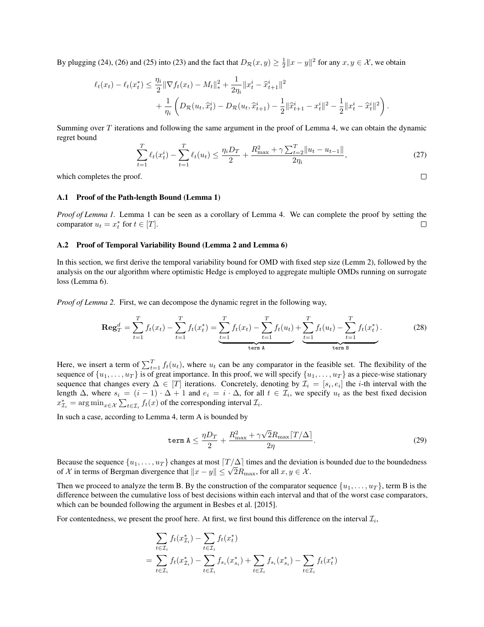By plugging [\(24\)](#page-1-2), [\(26\)](#page-1-3) and [\(25\)](#page-1-4) into [\(23\)](#page-1-5) and the fact that  $D_{\mathcal{R}}(x, y) \ge \frac{1}{2} ||x - y||^2$  for any  $x, y \in \mathcal{X}$ , we obtain

$$
\ell_t(x_t) - \ell_t(x_t^*) \leq \frac{\eta_i}{2} \|\nabla f_t(x_t) - M_t\|_{*}^2 + \frac{1}{2\eta_i} \|x_t^i - \hat{x}_{t+1}^i\|^2
$$
  
+ 
$$
\frac{1}{\eta_i} \left( D_{\mathcal{R}}(u_t, \hat{x}_t^i) - D_{\mathcal{R}}(u_t, \hat{x}_{t+1}^i) - \frac{1}{2} \|\hat{x}_{t+1}^i - x_t^i\|^2 - \frac{1}{2} \|x_t^i - \hat{x}_t^i\|^2 \right).
$$

Summing over  $T$  iterations and following the same argument in the proof of Lemma [4,](#page-0-7) we can obtain the dynamic regret bound

$$
\sum_{t=1}^{T} \ell_t(x_t^i) - \sum_{t=1}^{T} \ell_t(u_t) \le \frac{\eta_i D_T}{2} + \frac{R_{\text{max}}^2 + \gamma \sum_{t=2}^{T} ||u_t - u_{t-1}||}{2\eta_i},\tag{27}
$$

<span id="page-2-1"></span> $\Box$ 

which completes the proof.

#### A.1 Proof of the Path-length Bound (Lemma [1\)](#page-0-6)

*Proof of Lemma [1.](#page-0-6)* Lemma [1](#page-0-6) can be seen as a corollary of Lemma [4.](#page-0-7) We can complete the proof by setting the comparator  $u_t = x_t^*$  for  $t \in [T]$ .  $\Box$ 

#### A.2 Proof of Temporal Variability Bound (Lemma [2](#page-0-6) and Lemma [6\)](#page-3-0)

In this section, we first derive the temporal variability bound for OMD with fixed step size (Lemm [2\)](#page-0-6), followed by the analysis on the our algorithm where optimistic Hedge is employed to aggregate multiple OMDs running on surrogate loss (Lemma [6\)](#page-3-0).

*Proof of Lemma [2.](#page-0-6)* First, we can decompose the dynamic regret in the following way,

$$
\operatorname{Reg}_{T}^{d} = \sum_{t=1}^{T} f_{t}(x_{t}) - \sum_{t=1}^{T} f_{t}(x_{t}^{*}) = \underbrace{\sum_{t=1}^{T} f_{t}(x_{t}) - \sum_{t=1}^{T} f_{t}(u_{t})}_{\text{term A}} + \underbrace{\sum_{t=1}^{T} f_{t}(u_{t}) - \sum_{t=1}^{T} f_{t}(x_{t}^{*})}_{\text{term B}}.
$$
 (28)

Here, we insert a term of  $\sum_{t=1}^{T} f_t(u_t)$ , where  $u_t$  can be any comparator in the feasible set. The flexibility of the sequence of  $\{u_1, \ldots, u_T\}$  is of great importance. In this proof, we will specify  $\{u_1, \ldots, u_T\}$  as a piece-wise stationary sequence that changes every  $\Delta \in [T]$  iterations. Concretely, denoting by  $\mathcal{I}_i = [s_i, e_i]$  the *i*-th interval with the length  $\Delta$ , where  $s_i = (i-1) \cdot \Delta + 1$  and  $e_i = i \cdot \Delta$ , for all  $t \in \mathcal{I}_i$ , we specify  $u_t$  as the best fixed decision  $x_{\mathcal{I}_i}^* = \arg \min_{x \in \mathcal{X}} \sum_{t \in \mathcal{I}_i} f_t(x)$  of the corresponding interval  $\mathcal{I}_i$ .

In such a case, according to Lemma [4,](#page-0-7) term A is bounded by

<span id="page-2-0"></span>
$$
\text{term A} \le \frac{\eta D_T}{2} + \frac{R_{\text{max}}^2 + \gamma \sqrt{2} R_{\text{max}} [T/\Delta]}{2\eta}.
$$
\n(29)

Because the sequence  $\{u_1, \ldots, u_T\}$  changes at most  $\lceil T/\Delta \rceil$  times and the deviation is bounded due to the boundedness Because the sequence  $\{u_1, \ldots, u_T\}$  changes at most  $|1/\Delta|$  times and the deviation of X in terms of Bergman divergence that  $||x - y|| \leq \sqrt{2}R_{\text{max}}$ , for all  $x, y \in \mathcal{X}$ .

Then we proceed to analyze the term B. By the construction of the comparator sequence  $\{u_1, \ldots, u_T\}$ , term B is the difference between the cumulative loss of best decisions within each interval and that of the worst case comparators, which can be bounded following the argument in [Besbes et al.](#page-6-1) [\[2015\]](#page-6-1).

For contentedness, we present the proof here. At first, we first bound this difference on the interval  $\mathcal{I}_i$ ,

$$
\sum_{t \in \mathcal{I}_i} f_t(x_{\mathcal{I}_i}^*) - \sum_{t \in \mathcal{I}_i} f_t(x_t^*)
$$
\n
$$
= \sum_{t \in \mathcal{I}_i} f_t(x_{\mathcal{I}_i}^*) - \sum_{t \in \mathcal{I}_i} f_{s_i}(x_{s_i}^*) + \sum_{t \in \mathcal{I}_i} f_{s_i}(x_{s_i}^*) - \sum_{t \in \mathcal{I}_i} f_t(x_t^*)
$$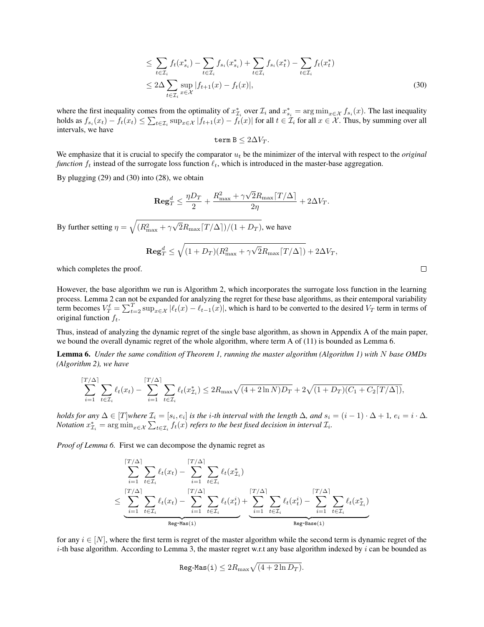$$
\leq \sum_{t \in \mathcal{I}_i} f_t(x_{s_i}^*) - \sum_{t \in \mathcal{I}_i} f_{s_i}(x_{s_i}^*) + \sum_{t \in \mathcal{I}_i} f_{s_i}(x_t^*) - \sum_{t \in \mathcal{I}_i} f_t(x_t^*)
$$
  

$$
\leq 2\Delta \sum_{t \in \mathcal{I}_i} \sup_{x \in \mathcal{X}} |f_{t+1}(x) - f_t(x)|,
$$
 (30)

where the first inequality comes from the optimality of  $x_{\mathcal{I}_i}^*$  over  $\mathcal{I}_i$  and  $x_{s_i}^* = \arg \min_{x \in \mathcal{X}} f_{s_i}(x)$ . The last inequality holds as  $f_{s_i}(x_t) - f_t(x_t) \le \sum_{t \in \mathcal{I}_i} \sup_{x \in \mathcal{X}} |f_{t+1}(x) - f_t(x)|$  for all  $t \in \mathcal{I}_i$  for all  $x \in \mathcal{X}$ . Thus, by summing over all intervals, we have

$$
\hbox{\tt term B}\leq 2\Delta V_T.
$$

We emphasize that it is crucial to specify the comparator  $u_t$  be the minimizer of the interval with respect to the *original function*  $f_t$  instead of the surrogate loss function  $\ell_t$ , which is introduced in the master-base aggregation.

By plugging [\(29\)](#page-2-0) and [\(30\)](#page-3-1) into [\(28\)](#page-2-1), we obtain

$$
\mathbf{Reg}_T^d \le \frac{\eta D_T}{2} + \frac{R_{\max}^2 + \gamma \sqrt{2} R_{\max} [T/\Delta]}{2\eta} + 2\Delta V_T.
$$

By further setting  $\eta = \sqrt{(R_{\text{max}}^2 + \gamma)}$ √  $2R_{\text{max}}[T/\Delta])/(1 + D_T)$ , we have

$$
\mathbf{Reg}_T^d \leq \sqrt{(1+D_T)(R_{\max}^2+\gamma \sqrt{2} R_{\max} \lceil T/\Delta \rceil)} + 2 \Delta V_T,
$$

which completes the proof.

However, the base algorithm we run is Algorithm [2,](#page-0-6) which incorporates the surrogate loss function in the learning process. Lemma [2](#page-0-6) can not be expanded for analyzing the regret for these base algorithms, as their entemporal variability term becomes  $V_T^{\ell} = \sum_{t=2}^T \sup_{x \in \mathcal{X}} |\ell_t(x) - \ell_{t-1}(x)|$ , which is hard to be converted to the desired  $V_T$  term in terms of original function  $f_t$ .

Thus, instead of analyzing the dynamic regret of the single base algorithm, as shown in Appendix A of the main paper, we bound the overall dynamic regret of the whole algorithm, where term A of [\(11\)](#page-0-6) is bounded as Lemma [6.](#page-3-0)

<span id="page-3-0"></span>Lemma 6. *Under the same condition of Theorem [1,](#page-0-6) running the master algorithm (Algorithm [1\)](#page-0-6) with* N *base OMDs (Algorithm [2\)](#page-0-6), we have*

$$
\sum_{i=1}^{\lceil T/\Delta \rceil} \sum_{t \in \mathcal{I}_i} \ell_t(x_t) - \sum_{i=1}^{\lceil T/\Delta \rceil} \sum_{t \in \mathcal{I}_i} \ell_t(x_{\mathcal{I}_i}^*) \leq 2R_{\max} \sqrt{(4+2\ln N)D_T} + 2\sqrt{(1+D_T)(C_1+C_2\lceil T/\Delta \rceil)},
$$

*holds for any*  $\Delta \in [T]$ where  $\mathcal{I}_i = [s_i, e_i]$  is the i-th interval with the length  $\Delta$ , and  $s_i = (i-1) \cdot \Delta + 1$ ,  $e_i = i \cdot \Delta$ . *Notation*  $x^*_{\mathcal{I}_i} = \arg\min_{x \in \mathcal{X}} \sum_{t \in \mathcal{I}_i} f_t(x)$  *refers to the best fixed decision in interval*  $\mathcal{I}_i$ *.* 

*Proof of Lemma [6.](#page-3-0)* First we can decompose the dynamic regret as

$$
\sum_{i=1}^{\lceil T/\Delta \rceil} \sum_{t \in \mathcal{I}_i} \ell_t(x_t) - \sum_{i=1}^{\lceil T/\Delta \rceil} \sum_{t \in \mathcal{I}_i} \ell_t(x_{\mathcal{I}_i}^*)
$$
\n
$$
\leq \underbrace{\sum_{i=1}^{\lceil T/\Delta \rceil} \sum_{t \in \mathcal{I}_i} \ell_t(x_t) - \sum_{i=1}^{\lceil T/\Delta \rceil} \sum_{t \in \mathcal{I}_i} \ell_t(x_t^i)}_{\text{Reg-Mas}(i)} + \underbrace{\sum_{i=1}^{\lceil T/\Delta \rceil} \sum_{t \in \mathcal{I}_i} \ell_t(x_t^i)}_{\text{Reg-Base}(i)} - \sum_{i=1}^{\lceil T/\Delta \rceil} \sum_{t \in \mathcal{I}_i} \ell_t(x_{\mathcal{I}_i}^*)
$$

for any  $i \in [N]$ , where the first term is regret of the master algorithm while the second term is dynamic regret of the  $i$ -th base algorithm. According to Lemma [3,](#page-0-6) the master regret w.r.t any base algorithm indexed by  $i$  can be bounded as

$$
\texttt{Reg-Mas}(\mathtt{i}) \leq 2R_{\max}\sqrt{(4+2\ln D_T)}.
$$

<span id="page-3-1"></span> $\Box$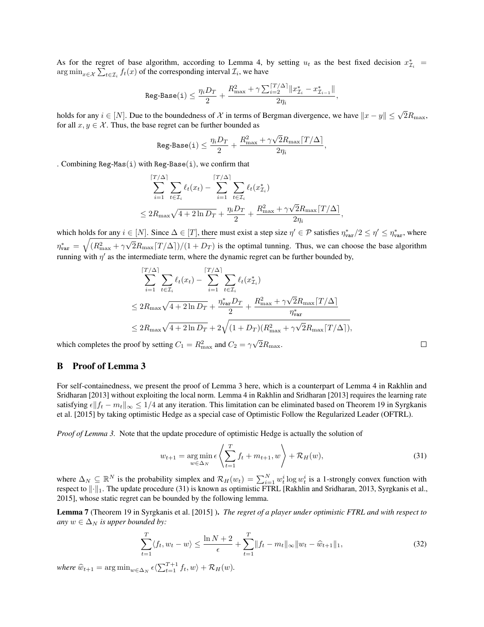As for the regret of base algorithm, according to Lemma [4,](#page-0-7) by setting  $u_t$  as the best fixed decision  $x_{\mathcal{I}_i}^*$  = arg  $\min_{x \in \mathcal{X}} \sum_{t \in \mathcal{I}_i} f_t(x)$  of the corresponding interval  $\mathcal{I}_i$ , we have

$$
\texttt{Reg-Base(i)} \leq \frac{\eta_i D_T}{2} + \frac{R_{\max}^2 + \gamma\sum_{i=2}^{\lceil T/\Delta \rceil} \lVert x_{\mathcal{I}_i}^* - x_{\mathcal{I}_{i-1}}^* \rVert}{2\eta_i},
$$

holds for any  $i \in [N]$ . Due to the boundedness of X in terms of Bergman divergence, we have  $||x - y|| \leq \sqrt{2}R_{\text{max}}$ , for all  $x, y \in \mathcal{X}$ . Thus, the base regret can be further bounded as

$$
\texttt{Reg-Base(i)} \leq \frac{\eta_i D_T}{2} + \frac{R_{\max}^2 + \gamma \sqrt{2} R_{\max} \lceil T / \Delta \rceil}{2 \eta_i},
$$

. Combining Reg-Mas(i) with Reg-Base(i), we confirm that

$$
\sum_{i=1}^{\lceil T/\Delta \rceil} \sum_{t \in \mathcal{I}_i} \ell_t(x_t) - \sum_{i=1}^{\lceil T/\Delta \rceil} \sum_{t \in \mathcal{I}_i} \ell_t(x_{\mathcal{I}_i}^*)
$$
  

$$
\leq 2R_{\max} \sqrt{4 + 2 \ln D_T} + \frac{\eta_i D_T}{2} + \frac{R_{\max}^2 + \gamma \sqrt{2} R_{\max} \lceil T/\Delta \rceil}{2 \eta_i},
$$

which holds for any  $i \in [N]$ . Since  $\Delta \in [T]$ , there must exist a step size  $\eta' \in \mathcal{P}$  satisfies  $\eta_{\text{var}}^*/2 \leq \eta' \leq \eta_{\text{var}}^*$ , where  $\eta^*_{\mathtt{var}}\,=\,\sqrt{(R_{\max}^2+\gamma}$ √  $2R_{\text{max}}[T/\Delta]/(1 + D_T)$  is the optimal tunning. Thus, we can choose the base algorithm running with  $\eta'$  as the intermediate term, where the dynamic regret can be further bounded by,

$$
\sum_{i=1}^{[T/\Delta]} \sum_{t \in \mathcal{I}_i} \ell_t(x_t) - \sum_{i=1}^{[T/\Delta]} \sum_{t \in \mathcal{I}_i} \ell_t(x_{\mathcal{I}_i}^*)
$$
\n
$$
\leq 2R_{\max} \sqrt{4 + 2 \ln D_T} + \frac{\eta_{\text{var}}^* D_T}{2} + \frac{R_{\max}^2 + \gamma \sqrt{2} R_{\max} [T/\Delta]}{\eta_{\text{var}}^*}
$$
\n
$$
\leq 2R_{\max} \sqrt{4 + 2 \ln D_T} + 2\sqrt{(1 + D_T)(R_{\max}^2 + \gamma \sqrt{2} R_{\max} [T/\Delta])},
$$

which completes the proof by setting  $C_1 = R_{\text{max}}^2$  and  $C_2 = \gamma$  $2R_{\text{max}}$ .

### <span id="page-4-0"></span>B Proof of Lemma [3](#page-0-6)

For self-containedness, we present the proof of Lemma [3](#page-0-6) here, which is a counterpart of Lemma 4 in [Rakhlin and](#page-6-2) [Sridharan](#page-6-2) [\[2013\]](#page-6-2) without exploiting the local norm. Lemma 4 in [Rakhlin and Sridharan](#page-6-2) [\[2013\]](#page-6-2) requires the learning rate satisfying  $\epsilon \|f_t - m_t\|_{\infty} \leq 1/4$  at any iteration. This limitation can be eliminated based on Theorem 19 in [Syrgkanis](#page-6-3) [et al.](#page-6-3) [\[2015\]](#page-6-3) by taking optimistic Hedge as a special case of Optimistic Follow the Regularized Leader (OFTRL).

*Proof of Lemma [3.](#page-0-6)* Note that the update procedure of optimistic Hedge is actually the solution of

$$
w_{t+1} = \underset{w \in \Delta_N}{\arg \min} \epsilon \left\langle \sum_{t=1}^T f_t + m_{t+1}, w \right\rangle + \mathcal{R}_H(w), \tag{31}
$$

<span id="page-4-1"></span> $\Box$ 

where  $\Delta_N \subseteq \mathbb{R}^N$  is the probability simplex and  $\mathcal{R}_H(w_t) = \sum_{i=1}^N w_t^i \log w_t^i$  is a 1-strongly convex function with respect to  $\|\cdot\|_1$ . The update procedure [\(31\)](#page-4-1) is known as optimistic FTRL [\[Rakhlin and Sridharan, 2013,](#page-6-2) [Syrgkanis et al.,](#page-6-3) [2015\]](#page-6-3), whose static regret can be bounded by the following lemma.

Lemma 7 (Theorem 19 in [Syrgkanis et al.](#page-6-3) [\[2015\]](#page-6-3) ). *The regret of a player under optimistic FTRL and with respect to any*  $w \in \Delta_N$  *is upper bounded by:* 

<span id="page-4-2"></span>
$$
\sum_{t=1}^{T} \langle f_t, w_t - w \rangle \le \frac{\ln N + 2}{\epsilon} + \sum_{t=1}^{T} \|f_t - m_t\|_{\infty} \|w_t - \widehat{w}_{t+1}\|_1,
$$
\n(32)

where  $\widehat{w}_{t+1} = \arg \min_{w \in \Delta_N} \epsilon \langle \sum_{t=1}^{T+1} f_t, w \rangle + \mathcal{R}_H(w)$ .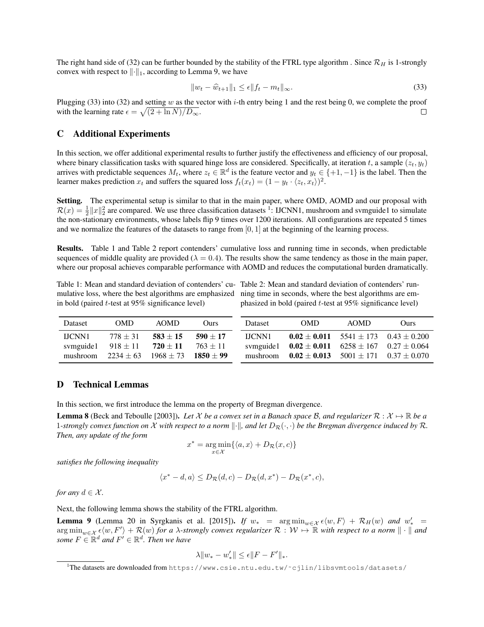The right hand side of [\(32\)](#page-4-2) can be further bounded by the stability of the FTRL type algorithm. Since  $\mathcal{R}_H$  is 1-strongly convex with respect to  $\lVert \cdot \rVert_1$ , according to Lemma [9,](#page-5-3) we have

<span id="page-5-4"></span>
$$
||w_t - \widehat{w}_{t+1}||_1 \le \epsilon ||f_t - m_t||_{\infty}.
$$
\n
$$
(33)
$$

Plugging [\(33\)](#page-5-4) into [\(32\)](#page-4-2) and setting w as the vector with i-th entry being 1 and the rest being 0, we complete the proof with the learning rate  $\epsilon = \sqrt{(2 + \ln N)/D_{\infty}}$ .  $\Box$ 

### <span id="page-5-0"></span>C Additional Experiments

In this section, we offer additional experimental results to further justify the effectiveness and efficiency of our proposal, where binary classification tasks with squared hinge loss are considered. Specifically, at iteration t, a sample  $(z_t, y_t)$ arrives with predictable sequences  $M_t$ , where  $z_t \in \mathbb{R}^d$  is the feature vector and  $y_t \in \{+1, -1\}$  is the label. Then the learner makes prediction  $x_t$  and suffers the squared loss  $f_t(x_t) = (1 - y_t \cdot \langle z_t, x_t \rangle)^2$ .

Setting. The experimental setup is similar to that in the main paper, where OMD, AOMD and our proposal with  $\mathcal{R}(x) = \frac{1}{2} ||x||_2^2$  $\mathcal{R}(x) = \frac{1}{2} ||x||_2^2$  $\mathcal{R}(x) = \frac{1}{2} ||x||_2^2$  are compared. We use three classification datasets <sup>1</sup>: IJCNN1, mushroom and svmguide1 to simulate the non-stationary environments, whose labels flip 9 times over 1200 iterations. All configurations are repeated 5 times and we normalize the features of the datasets to range from  $[0, 1]$  at the beginning of the learning process.

Results. Table [1](#page-5-6) and Table [2](#page-5-6) report contenders' cumulative loss and running time in seconds, when predictable sequences of middle quality are provided ( $\lambda = 0.4$ ). The results show the same tendency as those in the main paper, where our proposal achieves comparable performance with AOMD and reduces the computational burden dramatically.

in bold (paired t-test at 95% significance level)

<span id="page-5-6"></span>Table 1: Mean and standard deviation of contenders' cu-Table 2: Mean and standard deviation of contenders' runmulative loss, where the best algorithms are emphasized ning time in seconds, where the best algorithms are emphasized in bold (paired t-test at 95% significance level)

| <b>Dataset</b> | OMD.                   | AOMD.                          | <b>Ours</b>                 | <b>Dataset</b> | OMD.                                                       | <b>AOMD</b> | Ours)                                            |
|----------------|------------------------|--------------------------------|-----------------------------|----------------|------------------------------------------------------------|-------------|--------------------------------------------------|
| <b>HCNN1</b>   | $778 + 31$             | $583 \pm 15$                   | $590 \pm 17$                | LICNN1         |                                                            |             | $0.02 \pm 0.011$ 5541 $\pm$ 173 0.43 $\pm$ 0.200 |
|                | symguide1 $918 \pm 11$ | $\textbf{720} \pm \textbf{11}$ | $763 \pm 11$                |                | symguide1 $0.02 \pm 0.011$ $6258 \pm 167$ $0.27 \pm 0.064$ |             |                                                  |
| mushroom       | $2234 + 63$            |                                | $1968 \pm 73$ $1850 \pm 99$ |                | mushroom $0.02 \pm 0.013$ $5001 \pm 171$ $0.37 \pm 0.070$  |             |                                                  |

### <span id="page-5-1"></span>D Technical Lemmas

In this section, we first introduce the lemma on the property of Bregman divergence.

<span id="page-5-2"></span>**Lemma 8** [\(Beck and Teboulle](#page-6-4) [\[2003\]](#page-6-4)). Let X be a convex set in a Banach space B, and regularizer  $\mathcal{R}: \mathcal{X} \mapsto \mathbb{R}$  be a 1-strongly convex function on X with respect to a norm  $\|\cdot\|$ , and let  $D_{\mathcal{R}}(\cdot, \cdot)$  be the Bregman divergence induced by R. *Then, any update of the form*

$$
x^* = \underset{x \in \mathcal{X}}{\arg \min} \{ \langle a, x \rangle + D_{\mathcal{R}}(x, c) \}
$$

*satisfies the following inequality*

$$
\langle x^* - d, a \rangle \le D_{\mathcal{R}}(d, c) - D_{\mathcal{R}}(d, x^*) - D_{\mathcal{R}}(x^*, c),
$$

*for any*  $d \in \mathcal{X}$ *.* 

Next, the following lemma shows the stability of the FTRL algorithm.

<span id="page-5-3"></span>**Lemma 9** (Lemma 20 in [Syrgkanis et al.](#page-6-3) [\[2015\]](#page-6-3)). *If*  $w_*$  =  $\arg \min_{w \in \mathcal{X}} \epsilon \langle w, F \rangle + \mathcal{R}_H(w)$  *and*  $w'_*$  =  $\argmin_{w \in \mathcal{X}} \epsilon \langle w, F' \rangle + \mathcal{R}(w)$  *for a*  $\lambda$ -strongly convex regularizer  $\mathcal{R} : \mathcal{W} \mapsto \mathbb{R}$  with respect to a norm  $\| \cdot \|$  and *some*  $F \in \mathbb{R}^d$  *and*  $F' \in \mathbb{R}^d$ *. Then we have* 

$$
\lambda \|w_* - w'_*\| \le \epsilon \|F - F'\|_*.
$$

<span id="page-5-5"></span><sup>1</sup>The datasets are downloaded from [https://www.csie.ntu.edu.tw/˜cjlin/libsvmtools/datasets/](https://www.csie.ntu.edu.tw/~cjlin/libsvmtools/datasets/)